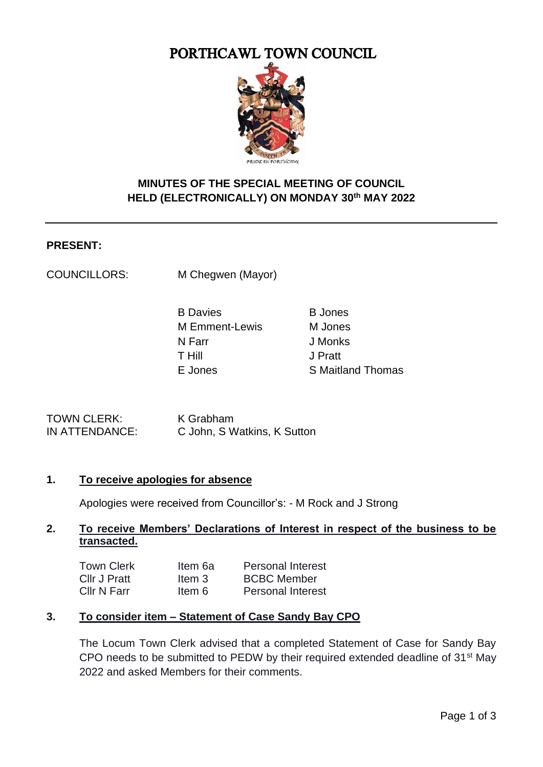# PORTHCAWL TOWN COUNCIL



# **MINUTES OF THE SPECIAL MEETING OF COUNCIL HELD (ELECTRONICALLY) ON MONDAY 30th MAY 2022**

#### **PRESENT:**

COUNCILLORS: M Chegwen (Mayor)

| <b>B</b> Jones           |
|--------------------------|
| M Jones                  |
| J Monks                  |
| J Pratt                  |
| <b>S</b> Maitland Thomas |
|                          |

TOWN CLERK: K Grabham

IN ATTENDANCE: C John, S Watkins, K Sutton

### **1. To receive apologies for absence**

Apologies were received from Councillor's: - M Rock and J Strong

#### **2. To receive Members' Declarations of Interest in respect of the business to be transacted.**

| <b>Town Clerk</b> | Item 6a | <b>Personal Interest</b> |
|-------------------|---------|--------------------------|
| Cllr J Pratt      | Item 3  | <b>BCBC Member</b>       |
| Cllr N Farr       | ltem 6  | <b>Personal Interest</b> |

### **3. To consider item – Statement of Case Sandy Bay CPO**

The Locum Town Clerk advised that a completed Statement of Case for Sandy Bay CPO needs to be submitted to PEDW by their required extended deadline of 31st May 2022 and asked Members for their comments.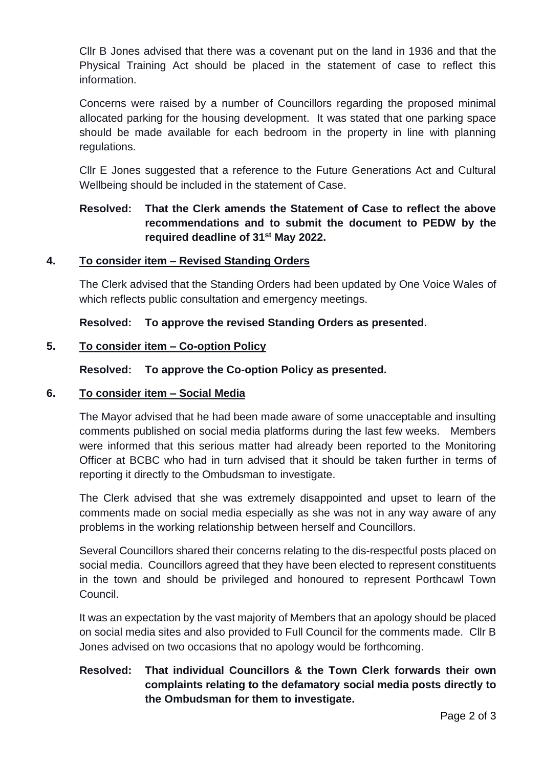Cllr B Jones advised that there was a covenant put on the land in 1936 and that the Physical Training Act should be placed in the statement of case to reflect this information.

Concerns were raised by a number of Councillors regarding the proposed minimal allocated parking for the housing development. It was stated that one parking space should be made available for each bedroom in the property in line with planning regulations.

Cllr E Jones suggested that a reference to the Future Generations Act and Cultural Wellbeing should be included in the statement of Case.

# **Resolved: That the Clerk amends the Statement of Case to reflect the above recommendations and to submit the document to PEDW by the required deadline of 31st May 2022.**

#### **4. To consider item – Revised Standing Orders**

The Clerk advised that the Standing Orders had been updated by One Voice Wales of which reflects public consultation and emergency meetings.

**Resolved: To approve the revised Standing Orders as presented.**

#### **5. To consider item – Co-option Policy**

#### **Resolved: To approve the Co-option Policy as presented.**

#### **6. To consider item – Social Media**

The Mayor advised that he had been made aware of some unacceptable and insulting comments published on social media platforms during the last few weeks. Members were informed that this serious matter had already been reported to the Monitoring Officer at BCBC who had in turn advised that it should be taken further in terms of reporting it directly to the Ombudsman to investigate.

The Clerk advised that she was extremely disappointed and upset to learn of the comments made on social media especially as she was not in any way aware of any problems in the working relationship between herself and Councillors.

Several Councillors shared their concerns relating to the dis-respectful posts placed on social media. Councillors agreed that they have been elected to represent constituents in the town and should be privileged and honoured to represent Porthcawl Town Council.

It was an expectation by the vast majority of Members that an apology should be placed on social media sites and also provided to Full Council for the comments made. Cllr B Jones advised on two occasions that no apology would be forthcoming.

# **Resolved: That individual Councillors & the Town Clerk forwards their own complaints relating to the defamatory social media posts directly to the Ombudsman for them to investigate.**